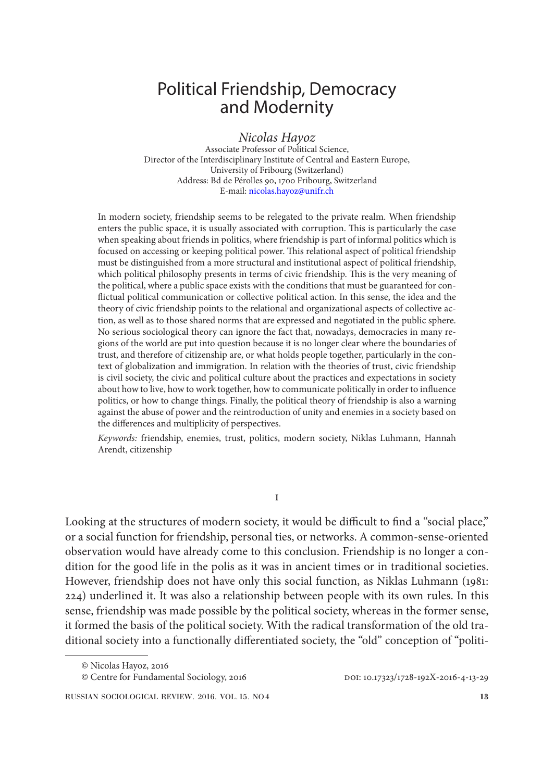# Political Friendship, Democracy and Modernity

*Nicolas Hayoz*

Associate Professor of Political Science, Director of the Interdisciplinary Institute of Central and Eastern Europe, University of Fribourg (Switzerland) Address: Bd de Pérolles 90, 1700 Fribourg, Switzerland E-mail: nicolas.hayoz@unifr.ch

In modern society, friendship seems to be relegated to the private realm. When friendship enters the public space, it is usually associated with corruption. This is particularly the case when speaking about friends in politics, where friendship is part of informal politics which is focused on accessing or keeping political power. This relational aspect of political friendship must be distinguished from a more structural and institutional aspect of political friendship, which political philosophy presents in terms of civic friendship. This is the very meaning of the political, where a public space exists with the conditions that must be guaranteed for conflictual political communication or collective political action. In this sense, the idea and the theory of civic friendship points to the relational and organizational aspects of collective action, as well as to those shared norms that are expressed and negotiated in the public sphere. No serious sociological theory can ignore the fact that, nowadays, democracies in many regions of the world are put into question because it is no longer clear where the boundaries of trust, and therefore of citizenship are, or what holds people together, particularly in the context of globalization and immigration. In relation with the theories of trust, civic friendship is civil society, the civic and political culture about the practices and expectations in society about how to live, how to work together, how to communicate politically in order to influence politics, or how to change things. Finally, the political theory of friendship is also a warning against the abuse of power and the reintroduction of unity and enemies in a society based on the differences and multiplicity of perspectives.

*Keywords:* friendship, enemies, trust, politics, modern society, Niklas Luhmann, Hannah Arendt, citizenship

i

Looking at the structures of modern society, it would be difficult to find a "social place," or a social function for friendship, personal ties, or networks. A common-sense-oriented observation would have already come to this conclusion. Friendship is no longer a condition for the good life in the polis as it was in ancient times or in traditional societies. However, friendship does not have only this social function, as Niklas Luhmann (1981: 224) underlined it. It was also a relationship between people with its own rules. In this sense, friendship was made possible by the political society, whereas in the former sense, it formed the basis of the political society. With the radical transformation of the old traditional society into a functionally differentiated society, the "old" conception of "politi-

<sup>©</sup> Nicolas Hayoz, 2016

<sup>©</sup> Centre for Fundamental Sociology, 2016 **b** DOI: 10.17323/1728-192X-2016-4-13-29

RUSSIAN SOCIOLOGICAL REVIEW. 2016. VOL. 15. NO4 **13**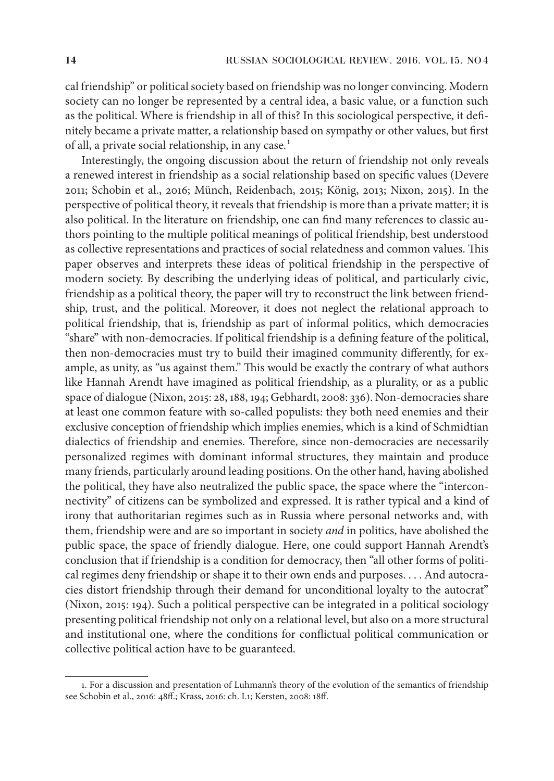cal friendship" or political society based on friendship was no longer convincing. Modern society can no longer be represented by a central idea, a basic value, or a function such as the political. Where is friendship in all of this? In this sociological perspective, it definitely became a private matter, a relationship based on sympathy or other values, but first of all, a private social relationship, in any case.<sup>1</sup>

Interestingly, the ongoing discussion about the return of friendship not only reveals a renewed interest in friendship as a social relationship based on specific values (Devere 2011; Schobin et al., 2016; Münch, Reidenbach, 2015; König, 2013; Nixon, 2015). In the perspective of political theory, it reveals that friendship is more than a private matter; it is also political. In the literature on friendship, one can find many references to classic authors pointing to the multiple political meanings of political friendship, best understood as collective representations and practices of social relatedness and common values. This paper observes and interprets these ideas of political friendship in the perspective of modern society. By describing the underlying ideas of political, and particularly civic, friendship as a political theory, the paper will try to reconstruct the link between friendship, trust, and the political. Moreover, it does not neglect the relational approach to political friendship, that is, friendship as part of informal politics, which democracies "share" with non-democracies. If political friendship is a defining feature of the political, then non-democracies must try to build their imagined community differently, for example, as unity, as "us against them." This would be exactly the contrary of what authors like Hannah Arendt have imagined as political friendship, as a plurality, or as a public space of dialogue (Nixon, 2015: 28, 188, 194; Gebhardt, 2008: 336). Non-democracies share at least one common feature with so-called populists: they both need enemies and their exclusive conception of friendship which implies enemies, which is a kind of Schmidtian dialectics of friendship and enemies. Therefore, since non-democracies are necessarily personalized regimes with dominant informal structures, they maintain and produce many friends, particularly around leading positions. On the other hand, having abolished the political, they have also neutralized the public space, the space where the "interconnectivity" of citizens can be symbolized and expressed. It is rather typical and a kind of irony that authoritarian regimes such as in Russia where personal networks and, with them, friendship were and are so important in society *and* in politics, have abolished the public space, the space of friendly dialogue. Here, one could support Hannah Arendt's conclusion that if friendship is a condition for democracy, then "all other forms of political regimes deny friendship or shape it to their own ends and purposes. . . . And autocracies distort friendship through their demand for unconditional loyalty to the autocrat" (Nixon, 2015: 194). Such a political perspective can be integrated in a political sociology presenting political friendship not only on a relational level, but also on a more structural and institutional one, where the conditions for conflictual political communication or collective political action have to be guaranteed.

<sup>1.</sup> For a discussion and presentation of Luhmann's theory of the evolution of the semantics of friendship see Schobin et al., 2016: 48ff.; Krass, 2016: ch. I.1; Kersten, 2008: 18ff.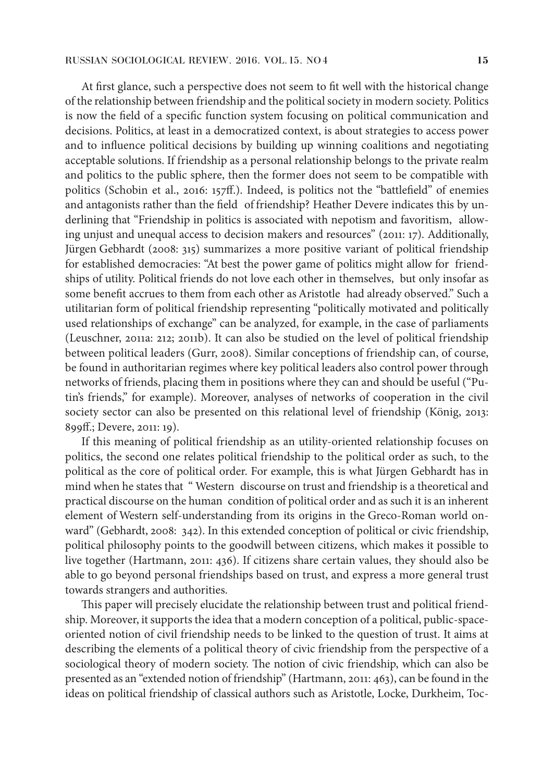At first glance, such a perspective does not seem to fit well with the historical change of the relationship between friendship and the political society in modern society. Politics is now the field of a specific function system focusing on political communication and decisions. Politics, at least in a democratized context, is about strategies to access power and to influence political decisions by building up winning coalitions and negotiating acceptable solutions. If friendship as a personal relationship belongs to the private realm and politics to the public sphere, then the former does not seem to be compatible with politics (Schobin et al., 2016: 157ff.). Indeed, is politics not the "battlefield" of enemies and antagonists rather than the field of friendship? Heather Devere indicates this by underlining that "Friendship in politics is associated with nepotism and favoritism, allowing unjust and unequal access to decision makers and resources" (2011: 17). Additionally, Jürgen Gebhardt (2008: 315) summarizes a more positive variant of political friendship for established democracies: "At best the power game of politics might allow for friendships of utility. Political friends do not love each other in themselves, but only insofar as some benefit accrues to them from each other as Aristotle had already observed." Such a utilitarian form of political friendship representing "politically motivated and politically used relationships of exchange" can be analyzed, for example, in the case of parliaments (Leuschner, 2011a: 212; 2011b). It can also be studied on the level of political friendship between political leaders (Gurr, 2008). Similar conceptions of friendship can, of course, be found in authoritarian regimes where key political leaders also control power through networks of friends, placing them in positions where they can and should be useful ("Putin's friends," for example). Moreover, analyses of networks of cooperation in the civil society sector can also be presented on this relational level of friendship (König, 2013: 899ff.; Devere, 2011: 19).

If this meaning of political friendship as an utility-oriented relationship focuses on politics, the second one relates political friendship to the political order as such, to the political as the core of political order. For example, this is what Jürgen Gebhardt has in mind when he states that " Western discourse on trust and friendship is a theoretical and practical discourse on the human condition of political order and as such it is an inherent element of Western self-understanding from its origins in the Greco-Roman world onward" (Gebhardt, 2008: 342). In this extended conception of political or civic friendship, political philosophy points to the goodwill between citizens, which makes it possible to live together (Hartmann, 2011: 436). If citizens share certain values, they should also be able to go beyond personal friendships based on trust, and express a more general trust towards strangers and authorities.

This paper will precisely elucidate the relationship between trust and political friendship. Moreover, it supports the idea that a modern conception of a political, public-spaceoriented notion of civil friendship needs to be linked to the question of trust. It aims at describing the elements of a political theory of civic friendship from the perspective of a sociological theory of modern society. The notion of civic friendship, which can also be presented as an "extended notion of friendship" (Hartmann, 2011: 463), can be found in the ideas on political friendship of classical authors such as Aristotle, Locke, Durkheim, Toc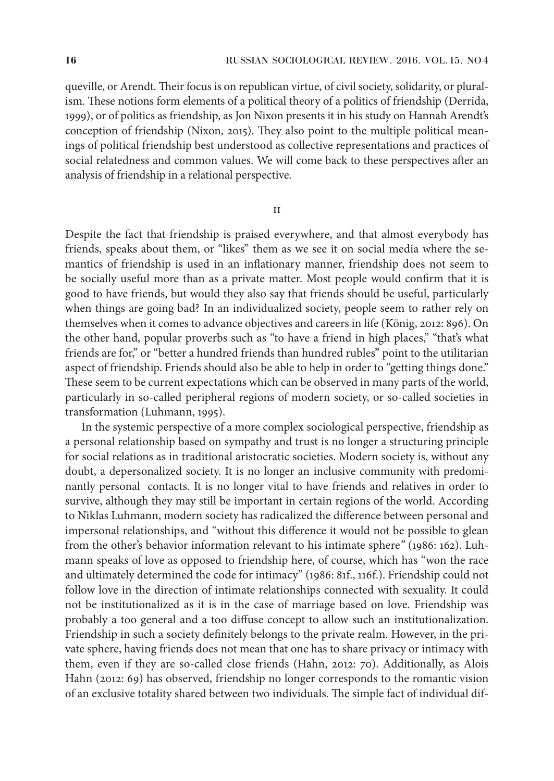queville, or Arendt. Their focus is on republican virtue, of civil society, solidarity, or pluralism. These notions form elements of a political theory of a politics of friendship (Derrida, 1999), or of politics as friendship, as Jon Nixon presents it in his study on Hannah Arendt's conception of friendship (Nixon, 2015). They also point to the multiple political meanings of political friendship best understood as collective representations and practices of social relatedness and common values. We will come back to these perspectives after an analysis of friendship in a relational perspective.

ii

Despite the fact that friendship is praised everywhere, and that almost everybody has friends, speaks about them, or "likes" them as we see it on social media where the semantics of friendship is used in an inflationary manner, friendship does not seem to be socially useful more than as a private matter. Most people would confirm that it is good to have friends, but would they also say that friends should be useful, particularly when things are going bad? In an individualized society, people seem to rather rely on themselves when it comes to advance objectives and careers in life (König, 2012: 896). On the other hand, popular proverbs such as "to have a friend in high places," "that's what friends are for," or "better a hundred friends than hundred rubles" point to the utilitarian aspect of friendship. Friends should also be able to help in order to "getting things done." These seem to be current expectations which can be observed in many parts of the world, particularly in so-called peripheral regions of modern society, or so-called societies in transformation (Luhmann, 1995).

In the systemic perspective of a more complex sociological perspective, friendship as a personal relationship based on sympathy and trust is no longer a structuring principle for social relations as in traditional aristocratic societies. Modern society is, without any doubt, a depersonalized society. It is no longer an inclusive community with predominantly personal contacts. It is no longer vital to have friends and relatives in order to survive, although they may still be important in certain regions of the world. According to Niklas Luhmann, modern society has radicalized the difference between personal and impersonal relationships, and "without this difference it would not be possible to glean from the other's behavior information relevant to his intimate sphere*"* (1986: 162). Luhmann speaks of love as opposed to friendship here, of course, which has "won the race and ultimately determined the code for intimacy" (1986: 81f., 116f.). Friendship could not follow love in the direction of intimate relationships connected with sexuality. It could not be institutionalized as it is in the case of marriage based on love. Friendship was probably a too general and a too diffuse concept to allow such an institutionalization. Friendship in such a society definitely belongs to the private realm. However, in the private sphere, having friends does not mean that one has to share privacy or intimacy with them, even if they are so-called close friends (Hahn, 2012: 70). Additionally, as Alois Hahn (2012: 69) has observed, friendship no longer corresponds to the romantic vision of an exclusive totality shared between two individuals. The simple fact of individual dif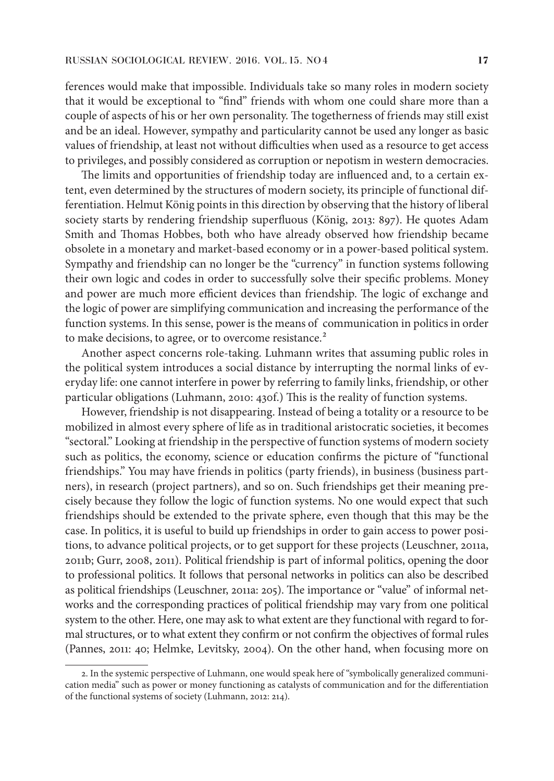ferences would make that impossible. Individuals take so many roles in modern society that it would be exceptional to "find" friends with whom one could share more than a couple of aspects of his or her own personality. The togetherness of friends may still exist and be an ideal. However, sympathy and particularity cannot be used any longer as basic values of friendship, at least not without difficulties when used as a resource to get access to privileges, and possibly considered as corruption or nepotism in western democracies.

The limits and opportunities of friendship today are influenced and, to a certain extent, even determined by the structures of modern society, its principle of functional differentiation. Helmut König points in this direction by observing that the history of liberal society starts by rendering friendship superfluous (König, 2013: 897). He quotes Adam Smith and Thomas Hobbes, both who have already observed how friendship became obsolete in a monetary and market-based economy or in a power-based political system. Sympathy and friendship can no longer be the "currency" in function systems following their own logic and codes in order to successfully solve their specific problems. Money and power are much more efficient devices than friendship. The logic of exchange and the logic of power are simplifying communication and increasing the performance of the function systems. In this sense, power is the means of communication in politics in order to make decisions, to agree, or to overcome resistance.<sup>2</sup>

Another aspect concerns role-taking. Luhmann writes that assuming public roles in the political system introduces a social distance by interrupting the normal links of everyday life: one cannot interfere in power by referring to family links, friendship, or other particular obligations (Luhmann, 2010: 430f.) This is the reality of function systems.

However, friendship is not disappearing. Instead of being a totality or a resource to be mobilized in almost every sphere of life as in traditional aristocratic societies, it becomes "sectoral." Looking at friendship in the perspective of function systems of modern society such as politics, the economy, science or education confirms the picture of "functional friendships." You may have friends in politics (party friends), in business (business partners), in research (project partners), and so on. Such friendships get their meaning precisely because they follow the logic of function systems. No one would expect that such friendships should be extended to the private sphere, even though that this may be the case. In politics, it is useful to build up friendships in order to gain access to power positions, to advance political projects, or to get support for these projects (Leuschner, 2011a, 2011b; Gurr, 2008, 2011). Political friendship is part of informal politics, opening the door to professional politics. It follows that personal networks in politics can also be described as political friendships (Leuschner, 2011a: 205). The importance or "value" of informal networks and the corresponding practices of political friendship may vary from one political system to the other. Here, one may ask to what extent are they functional with regard to formal structures, or to what extent they confirm or not confirm the objectives of formal rules (Pannes, 2011: 40; Helmke, Levitsky, 2004). On the other hand, when focusing more on

<sup>2.</sup> In the systemic perspective of Luhmann, one would speak here of "symbolically generalized communication media" such as power or money functioning as catalysts of communication and for the differentiation of the functional systems of society (Luhmann, 2012: 214).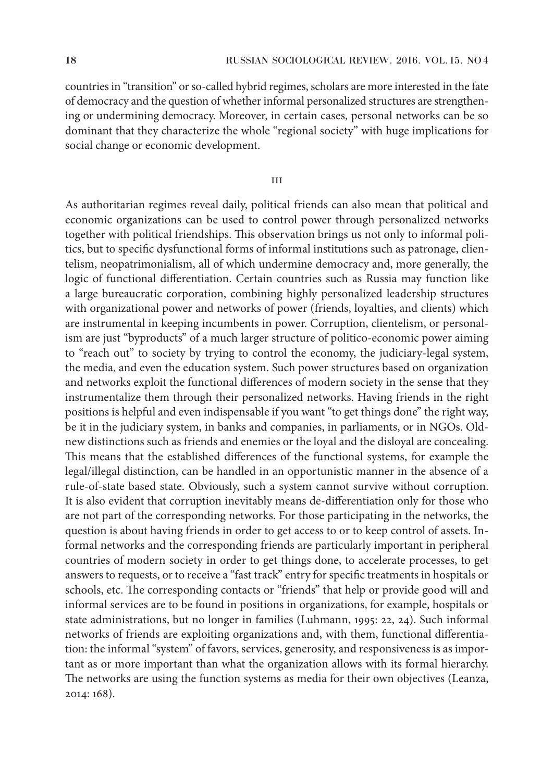countries in "transition" or so-called hybrid regimes, scholars are more interested in the fate of democracy and the question of whether informal personalized structures are strengthening or undermining democracy. Moreover, in certain cases, personal networks can be so dominant that they characterize the whole "regional society" with huge implications for social change or economic development.

#### iii

As authoritarian regimes reveal daily, political friends can also mean that political and economic organizations can be used to control power through personalized networks together with political friendships. This observation brings us not only to informal politics, but to specific dysfunctional forms of informal institutions such as patronage, clientelism, neopatrimonialism, all of which undermine democracy and, more generally, the logic of functional differentiation. Certain countries such as Russia may function like a large bureaucratic corporation, combining highly personalized leadership structures with organizational power and networks of power (friends, loyalties, and clients) which are instrumental in keeping incumbents in power. Corruption, clientelism, or personalism are just "byproducts" of a much larger structure of politico-economic power aiming to "reach out" to society by trying to control the economy, the judiciary-legal system, the media, and even the education system. Such power structures based on organization and networks exploit the functional differences of modern society in the sense that they instrumentalize them through their personalized networks. Having friends in the right positions is helpful and even indispensable if you want "to get things done" the right way, be it in the judiciary system, in banks and companies, in parliaments, or in NGOs. Oldnew distinctions such as friends and enemies or the loyal and the disloyal are concealing. This means that the established differences of the functional systems, for example the legal/illegal distinction, can be handled in an opportunistic manner in the absence of a rule-of-state based state. Obviously, such a system cannot survive without corruption. It is also evident that corruption inevitably means de-differentiation only for those who are not part of the corresponding networks. For those participating in the networks, the question is about having friends in order to get access to or to keep control of assets. Informal networks and the corresponding friends are particularly important in peripheral countries of modern society in order to get things done, to accelerate processes, to get answers to requests, or to receive a "fast track" entry for specific treatments in hospitals or schools, etc. The corresponding contacts or "friends" that help or provide good will and informal services are to be found in positions in organizations, for example, hospitals or state administrations, but no longer in families (Luhmann, 1995: 22, 24). Such informal networks of friends are exploiting organizations and, with them, functional differentiation: the informal "system" of favors, services, generosity, and responsiveness is as important as or more important than what the organization allows with its formal hierarchy. The networks are using the function systems as media for their own objectives (Leanza, 2014: 168).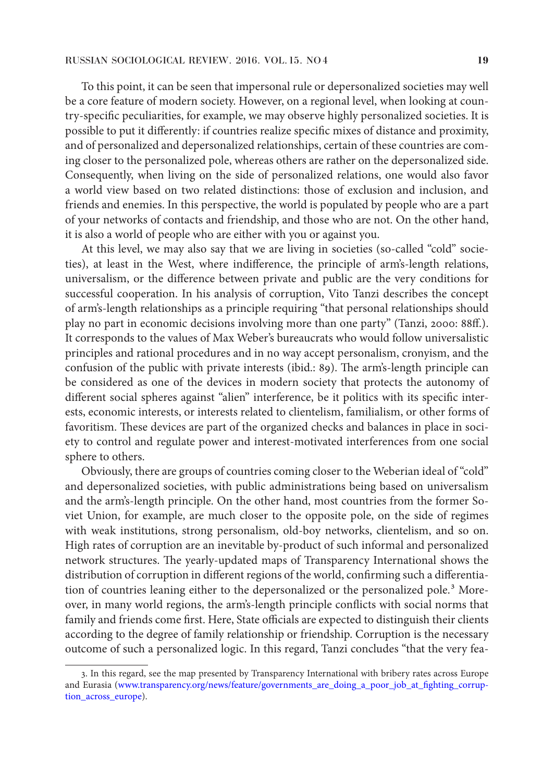To this point, it can be seen that impersonal rule or depersonalized societies may well be a core feature of modern society. However, on a regional level, when looking at country-specific peculiarities, for example, we may observe highly personalized societies. It is possible to put it differently: if countries realize specific mixes of distance and proximity, and of personalized and depersonalized relationships, certain of these countries are coming closer to the personalized pole, whereas others are rather on the depersonalized side. Consequently, when living on the side of personalized relations, one would also favor a world view based on two related distinctions: those of exclusion and inclusion, and friends and enemies. In this perspective, the world is populated by people who are a part of your networks of contacts and friendship, and those who are not. On the other hand, it is also a world of people who are either with you or against you.

At this level, we may also say that we are living in societies (so-called "cold" societies), at least in the West, where indifference, the principle of arm's-length relations, universalism, or the difference between private and public are the very conditions for successful cooperation. In his analysis of corruption, Vito Tanzi describes the concept of arm's-length relationships as a principle requiring "that personal relationships should play no part in economic decisions involving more than one party" (Tanzi, 2000: 88ff.). It corresponds to the values of Max Weber's bureaucrats who would follow universalistic principles and rational procedures and in no way accept personalism, cronyism, and the confusion of the public with private interests (ibid.: 89). The arm's-length principle can be considered as one of the devices in modern society that protects the autonomy of different social spheres against "alien" interference, be it politics with its specific interests, economic interests, or interests related to clientelism, familialism, or other forms of favoritism. These devices are part of the organized checks and balances in place in society to control and regulate power and interest-motivated interferences from one social sphere to others.

Obviously, there are groups of countries coming closer to the Weberian ideal of "cold" and depersonalized societies, with public administrations being based on universalism and the arm's-length principle. On the other hand, most countries from the former Soviet Union, for example, are much closer to the opposite pole, on the side of regimes with weak institutions, strong personalism, old-boy networks, clientelism, and so on. High rates of corruption are an inevitable by-product of such informal and personalized network structures. The yearly-updated maps of Transparency International shows the distribution of corruption in different regions of the world, confirming such a differentiation of countries leaning either to the depersonalized or the personalized pole.<sup>3</sup> Moreover, in many world regions, the arm's-length principle conflicts with social norms that family and friends come first. Here, State officials are expected to distinguish their clients according to the degree of family relationship or friendship. Corruption is the necessary outcome of such a personalized logic. In this regard, Tanzi concludes "that the very fea-

<sup>3.</sup> In this regard, see the map presented by Transparency International with bribery rates across Europe and Eurasia (www.transparency.org/news/feature/governments\_are\_doing\_a\_poor\_job\_at\_fighting\_corruption across europe).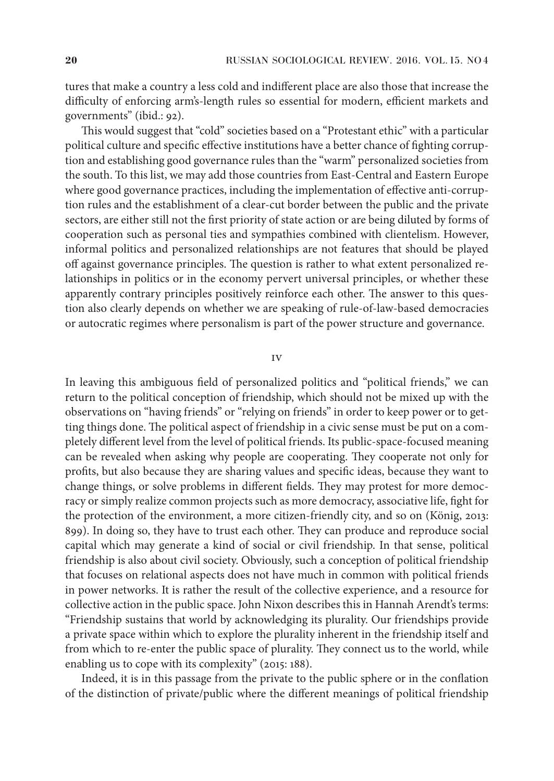tures that make a country a less cold and indifferent place are also those that increase the difficulty of enforcing arm's-length rules so essential for modern, efficient markets and governments" (ibid.: 92).

This would suggest that "cold" societies based on a "Protestant ethic" with a particular political culture and specific effective institutions have a better chance of fighting corruption and establishing good governance rules than the "warm" personalized societies from the south. To this list, we may add those countries from East-Central and Eastern Europe where good governance practices, including the implementation of effective anti-corruption rules and the establishment of a clear-cut border between the public and the private sectors, are either still not the first priority of state action or are being diluted by forms of cooperation such as personal ties and sympathies combined with clientelism. However, informal politics and personalized relationships are not features that should be played off against governance principles. The question is rather to what extent personalized relationships in politics or in the economy pervert universal principles, or whether these apparently contrary principles positively reinforce each other. The answer to this question also clearly depends on whether we are speaking of rule-of-law-based democracies or autocratic regimes where personalism is part of the power structure and governance.

iv

In leaving this ambiguous field of personalized politics and "political friends," we can return to the political conception of friendship, which should not be mixed up with the observations on "having friends" or "relying on friends" in order to keep power or to getting things done. The political aspect of friendship in a civic sense must be put on a completely different level from the level of political friends. Its public-space-focused meaning can be revealed when asking why people are cooperating. They cooperate not only for profits, but also because they are sharing values and specific ideas, because they want to change things, or solve problems in different fields. They may protest for more democracy or simply realize common projects such as more democracy, associative life, fight for the protection of the environment, a more citizen-friendly city, and so on (König, 2013: 899). In doing so, they have to trust each other. They can produce and reproduce social capital which may generate a kind of social or civil friendship. In that sense, political friendship is also about civil society. Obviously, such a conception of political friendship that focuses on relational aspects does not have much in common with political friends in power networks. It is rather the result of the collective experience, and a resource for collective action in the public space. John Nixon describes this in Hannah Arendt's terms: "Friendship sustains that world by acknowledging its plurality. Our friendships provide a private space within which to explore the plurality inherent in the friendship itself and from which to re-enter the public space of plurality. They connect us to the world, while enabling us to cope with its complexity" (2015: 188).

Indeed, it is in this passage from the private to the public sphere or in the conflation of the distinction of private/public where the different meanings of political friendship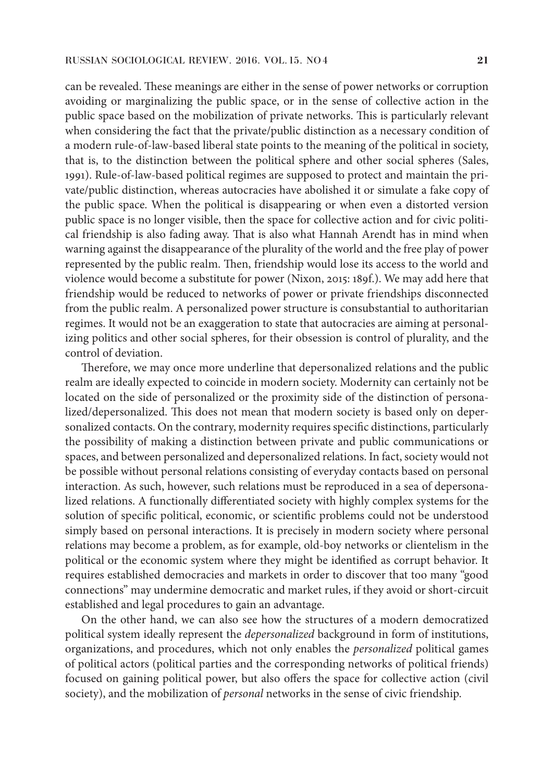can be revealed. These meanings are either in the sense of power networks or corruption avoiding or marginalizing the public space, or in the sense of collective action in the public space based on the mobilization of private networks. This is particularly relevant when considering the fact that the private/public distinction as a necessary condition of a modern rule-of-law-based liberal state points to the meaning of the political in society, that is, to the distinction between the political sphere and other social spheres (Sales, 1991). Rule-of-law-based political regimes are supposed to protect and maintain the private/public distinction, whereas autocracies have abolished it or simulate a fake copy of the public space. When the political is disappearing or when even a distorted version public space is no longer visible, then the space for collective action and for civic political friendship is also fading away. That is also what Hannah Arendt has in mind when warning against the disappearance of the plurality of the world and the free play of power represented by the public realm. Then, friendship would lose its access to the world and violence would become a substitute for power (Nixon, 2015: 189f.). We may add here that friendship would be reduced to networks of power or private friendships disconnected from the public realm. A personalized power structure is consubstantial to authoritarian regimes. It would not be an exaggeration to state that autocracies are aiming at personalizing politics and other social spheres, for their obsession is control of plurality, and the control of deviation.

Therefore, we may once more underline that depersonalized relations and the public realm are ideally expected to coincide in modern society. Modernity can certainly not be located on the side of personalized or the proximity side of the distinction of personalized/depersonalized. This does not mean that modern society is based only on depersonalized contacts. On the contrary, modernity requires specific distinctions, particularly the possibility of making a distinction between private and public communications or spaces, and between personalized and depersonalized relations. In fact, society would not be possible without personal relations consisting of everyday contacts based on personal interaction. As such, however, such relations must be reproduced in a sea of depersonalized relations. A functionally differentiated society with highly complex systems for the solution of specific political, economic, or scientific problems could not be understood simply based on personal interactions. It is precisely in modern society where personal relations may become a problem, as for example, old-boy networks or clientelism in the political or the economic system where they might be identified as corrupt behavior. It requires established democracies and markets in order to discover that too many "good connections" may undermine democratic and market rules, if they avoid or short-circuit established and legal procedures to gain an advantage.

On the other hand, we can also see how the structures of a modern democratized political system ideally represent the *depersonalized* background in form of institutions, organizations, and procedures, which not only enables the *personalized* political games of political actors (political parties and the corresponding networks of political friends) focused on gaining political power, but also offers the space for collective action (civil society), and the mobilization of *personal* networks in the sense of civic friendship.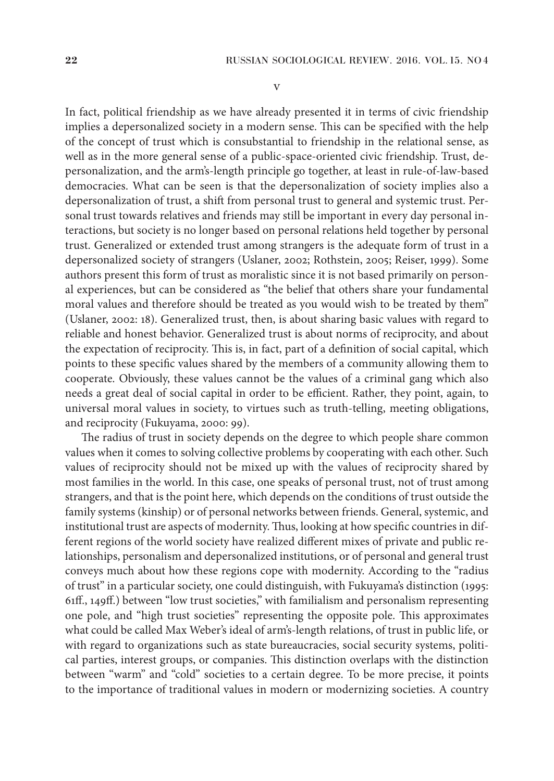v

In fact, political friendship as we have already presented it in terms of civic friendship implies a depersonalized society in a modern sense. This can be specified with the help of the concept of trust which is consubstantial to friendship in the relational sense, as well as in the more general sense of a public-space-oriented civic friendship. Trust, depersonalization, and the arm's-length principle go together, at least in rule-of-law-based democracies. What can be seen is that the depersonalization of society implies also a depersonalization of trust, a shift from personal trust to general and systemic trust. Personal trust towards relatives and friends may still be important in every day personal interactions, but society is no longer based on personal relations held together by personal trust. Generalized or extended trust among strangers is the adequate form of trust in a depersonalized society of strangers (Uslaner, 2002; Rothstein, 2005; Reiser, 1999). Some authors present this form of trust as moralistic since it is not based primarily on personal experiences, but can be considered as "the belief that others share your fundamental moral values and therefore should be treated as you would wish to be treated by them" (Uslaner, 2002: 18). Generalized trust, then, is about sharing basic values with regard to reliable and honest behavior. Generalized trust is about norms of reciprocity, and about the expectation of reciprocity. This is, in fact, part of a definition of social capital, which points to these specific values shared by the members of a community allowing them to cooperate. Obviously, these values cannot be the values of a criminal gang which also needs a great deal of social capital in order to be efficient. Rather, they point, again, to universal moral values in society, to virtues such as truth-telling, meeting obligations, and reciprocity (Fukuyama, 2000: 99).

The radius of trust in society depends on the degree to which people share common values when it comes to solving collective problems by cooperating with each other. Such values of reciprocity should not be mixed up with the values of reciprocity shared by most families in the world. In this case, one speaks of personal trust, not of trust among strangers, and that is the point here, which depends on the conditions of trust outside the family systems (kinship) or of personal networks between friends. General, systemic, and institutional trust are aspects of modernity. Thus, looking at how specific countries in different regions of the world society have realized different mixes of private and public relationships, personalism and depersonalized institutions, or of personal and general trust conveys much about how these regions cope with modernity. According to the "radius of trust" in a particular society, one could distinguish, with Fukuyama's distinction (1995: 61ff., 149ff.) between "low trust societies," with familialism and personalism representing one pole, and "high trust societies" representing the opposite pole. This approximates what could be called Max Weber's ideal of arm's-length relations, of trust in public life, or with regard to organizations such as state bureaucracies, social security systems, political parties, interest groups, or companies. This distinction overlaps with the distinction between "warm" and "cold" societies to a certain degree. To be more precise, it points to the importance of traditional values in modern or modernizing societies. A country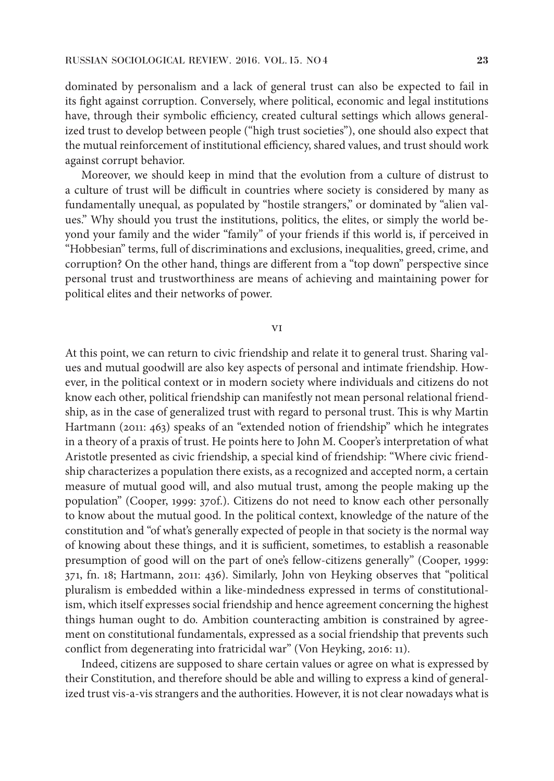dominated by personalism and a lack of general trust can also be expected to fail in its fight against corruption. Conversely, where political, economic and legal institutions have, through their symbolic efficiency, created cultural settings which allows generalized trust to develop between people ("high trust societies"), one should also expect that the mutual reinforcement of institutional efficiency, shared values, and trust should work against corrupt behavior.

Moreover, we should keep in mind that the evolution from a culture of distrust to a culture of trust will be difficult in countries where society is considered by many as fundamentally unequal, as populated by "hostile strangers," or dominated by "alien values." Why should you trust the institutions, politics, the elites, or simply the world beyond your family and the wider "family" of your friends if this world is, if perceived in "Hobbesian" terms, full of discriminations and exclusions, inequalities, greed, crime, and corruption? On the other hand, things are different from a "top down" perspective since personal trust and trustworthiness are means of achieving and maintaining power for political elites and their networks of power.

vi

At this point, we can return to civic friendship and relate it to general trust. Sharing values and mutual goodwill are also key aspects of personal and intimate friendship. However, in the political context or in modern society where individuals and citizens do not know each other, political friendship can manifestly not mean personal relational friendship, as in the case of generalized trust with regard to personal trust. This is why Martin Hartmann (2011: 463) speaks of an "extended notion of friendship" which he integrates in a theory of a praxis of trust. He points here to John M. Cooper's interpretation of what Aristotle presented as civic friendship, a special kind of friendship: "Where civic friendship characterizes a population there exists, as a recognized and accepted norm, a certain measure of mutual good will, and also mutual trust, among the people making up the population" (Cooper, 1999: 370f.). Citizens do not need to know each other personally to know about the mutual good. In the political context, knowledge of the nature of the constitution and "of what's generally expected of people in that society is the normal way of knowing about these things, and it is sufficient, sometimes, to establish a reasonable presumption of good will on the part of one's fellow-citizens generally" (Cooper, 1999: 371, fn. 18; Hartmann, 2011: 436). Similarly, John von Heyking observes that "political pluralism is embedded within a like-mindedness expressed in terms of constitutionalism, which itself expresses social friendship and hence agreement concerning the highest things human ought to do. Ambition counteracting ambition is constrained by agreement on constitutional fundamentals, expressed as a social friendship that prevents such conflict from degenerating into fratricidal war" (Von Heyking, 2016: 11).

Indeed, citizens are supposed to share certain values or agree on what is expressed by their Constitution, and therefore should be able and willing to express a kind of generalized trust vis-a-vis strangers and the authorities. However, it is not clear nowadays what is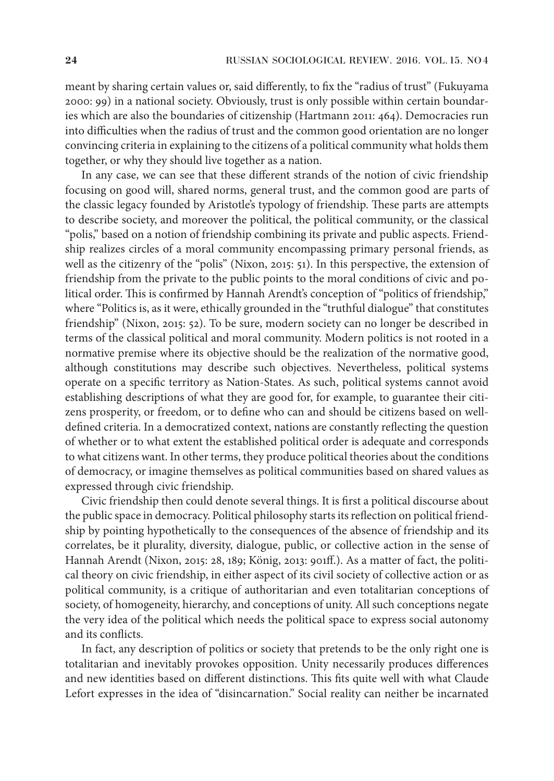meant by sharing certain values or, said differently, to fix the "radius of trust" (Fukuyama 2000: 99) in a national society. Obviously, trust is only possible within certain boundaries which are also the boundaries of citizenship (Hartmann 2011: 464). Democracies run into difficulties when the radius of trust and the common good orientation are no longer convincing criteria in explaining to the citizens of a political community what holds them together, or why they should live together as a nation.

In any case, we can see that these different strands of the notion of civic friendship focusing on good will, shared norms, general trust, and the common good are parts of the classic legacy founded by Aristotle's typology of friendship. These parts are attempts to describe society, and moreover the political, the political community, or the classical "polis," based on a notion of friendship combining its private and public aspects. Friendship realizes circles of a moral community encompassing primary personal friends, as well as the citizenry of the "polis" (Nixon, 2015: 51). In this perspective, the extension of friendship from the private to the public points to the moral conditions of civic and political order. This is confirmed by Hannah Arendt's conception of "politics of friendship," where "Politics is, as it were, ethically grounded in the "truthful dialogue" that constitutes friendship" (Nixon, 2015: 52). To be sure, modern society can no longer be described in terms of the classical political and moral community. Modern politics is not rooted in a normative premise where its objective should be the realization of the normative good, although constitutions may describe such objectives. Nevertheless, political systems operate on a specific territory as Nation-States. As such, political systems cannot avoid establishing descriptions of what they are good for, for example, to guarantee their citizens prosperity, or freedom, or to define who can and should be citizens based on welldefined criteria. In a democratized context, nations are constantly reflecting the question of whether or to what extent the established political order is adequate and corresponds to what citizens want. In other terms, they produce political theories about the conditions of democracy, or imagine themselves as political communities based on shared values as expressed through civic friendship.

Civic friendship then could denote several things. It is first a political discourse about the public space in democracy. Political philosophy starts its reflection on political friendship by pointing hypothetically to the consequences of the absence of friendship and its correlates, be it plurality, diversity, dialogue, public, or collective action in the sense of Hannah Arendt (Nixon, 2015: 28, 189; König, 2013: 901ff.). As a matter of fact, the political theory on civic friendship, in either aspect of its civil society of collective action or as political community, is a critique of authoritarian and even totalitarian conceptions of society, of homogeneity, hierarchy, and conceptions of unity. All such conceptions negate the very idea of the political which needs the political space to express social autonomy and its conflicts.

In fact, any description of politics or society that pretends to be the only right one is totalitarian and inevitably provokes opposition. Unity necessarily produces differences and new identities based on different distinctions. This fits quite well with what Claude Lefort expresses in the idea of "disincarnation." Social reality can neither be incarnated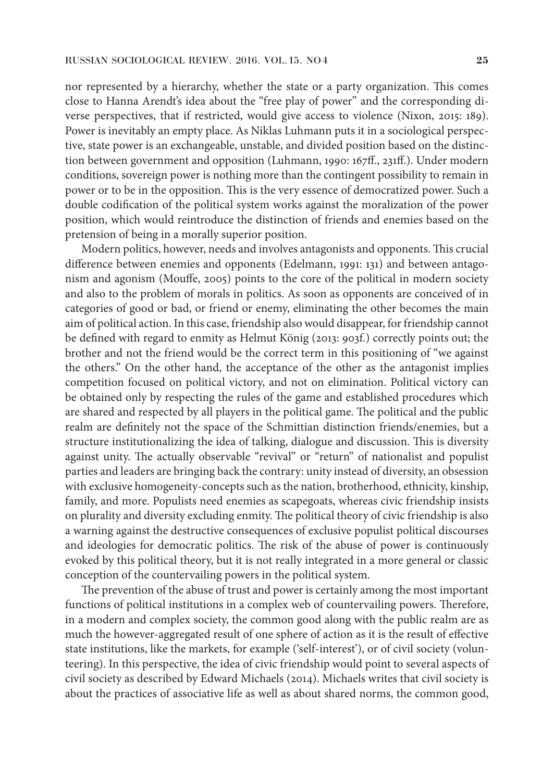nor represented by a hierarchy, whether the state or a party organization. This comes close to Hanna Arendt's idea about the "free play of power" and the corresponding diverse perspectives, that if restricted, would give access to violence (Nixon, 2015: 189). Power is inevitably an empty place. As Niklas Luhmann puts it in a sociological perspective, state power is an exchangeable, unstable, and divided position based on the distinction between government and opposition (Luhmann, 1990: 167ff., 231ff.). Under modern conditions, sovereign power is nothing more than the contingent possibility to remain in power or to be in the opposition. This is the very essence of democratized power. Such a double codification of the political system works against the moralization of the power position, which would reintroduce the distinction of friends and enemies based on the pretension of being in a morally superior position.

Modern politics, however, needs and involves antagonists and opponents. This crucial difference between enemies and opponents (Edelmann, 1991: 131) and between antagonism and agonism (Mouffe, 2005) points to the core of the political in modern society and also to the problem of morals in politics. As soon as opponents are conceived of in categories of good or bad, or friend or enemy, eliminating the other becomes the main aim of political action. In this case, friendship also would disappear, for friendship cannot be defined with regard to enmity as Helmut König (2013: 903f.) correctly points out; the brother and not the friend would be the correct term in this positioning of "we against the others." On the other hand, the acceptance of the other as the antagonist implies competition focused on political victory, and not on elimination. Political victory can be obtained only by respecting the rules of the game and established procedures which are shared and respected by all players in the political game. The political and the public realm are definitely not the space of the Schmittian distinction friends/enemies, but a structure institutionalizing the idea of talking, dialogue and discussion. This is diversity against unity. The actually observable "revival" or "return" of nationalist and populist parties and leaders are bringing back the contrary: unity instead of diversity, an obsession with exclusive homogeneity-concepts such as the nation, brotherhood, ethnicity, kinship, family, and more. Populists need enemies as scapegoats, whereas civic friendship insists on plurality and diversity excluding enmity. The political theory of civic friendship is also a warning against the destructive consequences of exclusive populist political discourses and ideologies for democratic politics. The risk of the abuse of power is continuously evoked by this political theory, but it is not really integrated in a more general or classic conception of the countervailing powers in the political system.

The prevention of the abuse of trust and power is certainly among the most important functions of political institutions in a complex web of countervailing powers. Therefore, in a modern and complex society, the common good along with the public realm are as much the however-aggregated result of one sphere of action as it is the result of effective state institutions, like the markets, for example ('self-interest'), or of civil society (volunteering). In this perspective, the idea of civic friendship would point to several aspects of civil society as described by Edward Michaels (2014). Michaels writes that civil society is about the practices of associative life as well as about shared norms, the common good,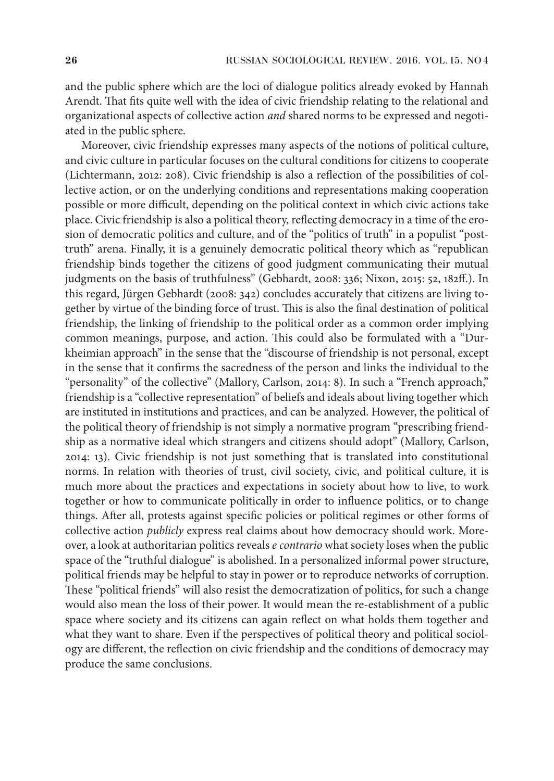and the public sphere which are the loci of dialogue politics already evoked by Hannah Arendt. That fits quite well with the idea of civic friendship relating to the relational and organizational aspects of collective action *and* shared norms to be expressed and negotiated in the public sphere.

Moreover, civic friendship expresses many aspects of the notions of political culture, and civic culture in particular focuses on the cultural conditions for citizens to cooperate (Lichtermann, 2012: 208). Civic friendship is also a reflection of the possibilities of collective action, or on the underlying conditions and representations making cooperation possible or more difficult, depending on the political context in which civic actions take place. Civic friendship is also a political theory, reflecting democracy in a time of the erosion of democratic politics and culture, and of the "politics of truth" in a populist "posttruth" arena. Finally, it is a genuinely democratic political theory which as "republican friendship binds together the citizens of good judgment communicating their mutual judgments on the basis of truthfulness" (Gebhardt, 2008: 336; Nixon, 2015: 52, 182ff.). In this regard, Jürgen Gebhardt (2008: 342) concludes accurately that citizens are living together by virtue of the binding force of trust. This is also the final destination of political friendship, the linking of friendship to the political order as a common order implying common meanings, purpose, and action. This could also be formulated with a "Durkheimian approach" in the sense that the "discourse of friendship is not personal, except in the sense that it confirms the sacredness of the person and links the individual to the "personality" of the collective" (Mallory, Carlson, 2014: 8). In such a "French approach," friendship is a "collective representation" of beliefs and ideals about living together which are instituted in institutions and practices, and can be analyzed. However, the political of the political theory of friendship is not simply a normative program "prescribing friendship as a normative ideal which strangers and citizens should adopt" (Mallory, Carlson, 2014: 13). Civic friendship is not just something that is translated into constitutional norms. In relation with theories of trust, civil society, civic, and political culture, it is much more about the practices and expectations in society about how to live, to work together or how to communicate politically in order to influence politics, or to change things. After all, protests against specific policies or political regimes or other forms of collective action *publicly* express real claims about how democracy should work. Moreover, a look at authoritarian politics reveals *e contrario* what society loses when the public space of the "truthful dialogue" is abolished. In a personalized informal power structure, political friends may be helpful to stay in power or to reproduce networks of corruption. These "political friends" will also resist the democratization of politics, for such a change would also mean the loss of their power. It would mean the re-establishment of a public space where society and its citizens can again reflect on what holds them together and what they want to share. Even if the perspectives of political theory and political sociology are different, the reflection on civic friendship and the conditions of democracy may produce the same conclusions.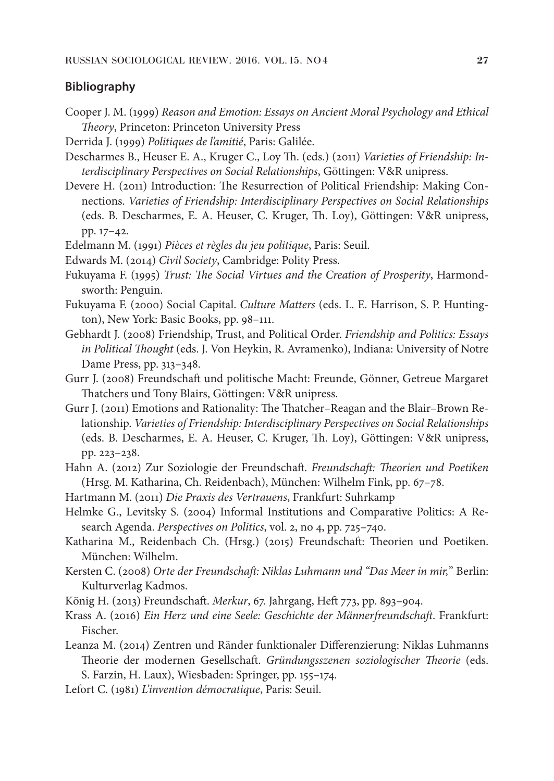### **Bibliography**

- Cooper J. M. (1999) *Reason and Emotion: Essays on Ancient Moral Psychology and Ethical Theory*, Princeton: Princeton University Press
- Derrida J. (1999) *Politiques de l'amitié*, Paris: Galilée.
- Descharmes B., Heuser E. A., Kruger C., Loy Th. (eds.) (2011) *Varieties of Friendship: Interdisciplinary Perspectives on Social Relationships*, Göttingen: V&R unipress.
- Devere H. (2011) Introduction: The Resurrection of Political Friendship: Making Connections. *Varieties of Friendship: Interdisciplinary Perspectives on Social Relationships*  (eds. B. Descharmes, E. A. Heuser, C. Kruger, Th. Loy), Göttingen: V&R unipress, pp. 17–42.
- Edelmann M. (1991) *Pièces et règles du jeu politique*, Paris: Seuil.
- Edwards M. (2014) *Civil Society*, Cambridge: Polity Press.
- Fukuyama F. (1995) *Trust: The Social Virtues and the Creation of Prosperity*, Harmondsworth: Penguin.
- Fukuyama F. (2000) Social Capital. *Culture Matters* (eds. L. E. Harrison, S. P. Huntington), New York: Basic Books, pp. 98–111.
- Gebhardt J. (2008) Friendship, Trust, and Political Order. *Friendship and Politics: Essays in Political Thought* (eds. J. Von Heykin, R. Avramenko), Indiana: University of Notre Dame Press, pp. 313–348.
- Gurr J. (2008) Freundschaft und politische Macht: Freunde, Gönner, Getreue Margaret Thatchers und Tony Blairs, Göttingen: V&R unipress.
- Gurr J. (2011) Emotions and Rationality: The Thatcher–Reagan and the Blair–Brown Relationship. *Varieties of Friendship: Interdisciplinary Perspectives on Social Relationships*  (eds. B. Descharmes, E. A. Heuser, C. Kruger, Th. Loy), Göttingen: V&R unipress, pp. 223–238.
- Hahn A. (2012) Zur Soziologie der Freundschaft. *Freundschaft: Theorien und Poetiken* (Hrsg. M. Katharina, Ch. Reidenbach), München: Wilhelm Fink, pp. 67–78.
- Hartmann M. (2011) *Die Praxis des Vertrauens*, Frankfurt: Suhrkamp
- Helmke G., Levitsky S. (2004) Informal Institutions and Comparative Politics: A Research Agenda. *Perspectives on Politics*, vol. 2, no 4, pp. 725–740.
- Katharina M., Reidenbach Ch. (Hrsg.) (2015) Freundschaft: Theorien und Poetiken. München: Wilhelm.
- Kersten C. (2008) *Orte der Freundschaft: Niklas Luhmann und "Das Meer in mir,*" Berlin: Kulturverlag Kadmos.
- König H. (2013) Freundschaft. *Merkur*, 67. Jahrgang, Heft 773, pp. 893–904.
- Krass A. (2016) *Ein Herz und eine Seele: Geschichte der Männerfreundschaft*. Frankfurt: Fischer.
- Leanza M. (2014) Zentren und Ränder funktionaler Differenzierung: Niklas Luhmanns Theorie der modernen Gesellschaft. *Gründungsszenen soziologischer Theorie* (eds. S. Farzin, H. Laux), Wiesbaden: Springer, pp. 155–174.
- Lefort C. (1981) *L'invention démocratique*, Paris: Seuil.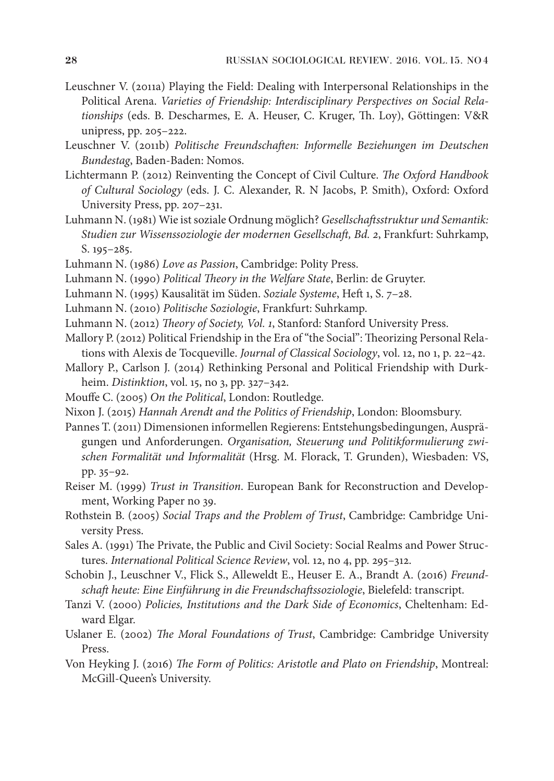- Leuschner V. (2011a) Playing the Field: Dealing with Interpersonal Relationships in the Political Arena. *Varieties of Friendship: Interdisciplinary Perspectives on Social Relationships* (eds. B. Descharmes, E. A. Heuser, C. Kruger, Th. Loy), Göttingen: V&R unipress, pp. 205–222.
- Leuschner V. (2011b) *Politische Freundschaften: Informelle Beziehungen im Deutschen Bundestag*, Baden-Baden: Nomos.
- Lichtermann P. (2012) Reinventing the Concept of Civil Culture. *The Oxford Handbook of Cultural Sociology* (eds. J. C. Alexander, R. N Jacobs, P. Smith), Oxford: Oxford University Press, pp. 207–231.
- Luhmann N. (1981) Wie ist soziale Ordnung möglich? *Gesellschaftsstruktur und Semantik: Studien zur Wissenssoziologie der modernen Gesellschaft, Bd. 2*, Frankfurt: Suhrkamp, S. 195–285.
- Luhmann N. (1986) *Love as Passion*, Cambridge: Polity Press.
- Luhmann N. (1990) *Political Theory in the Welfare State*, Berlin: de Gruyter.
- Luhmann N. (1995) Kausalität im Süden. *Soziale Systeme*, Heft 1, S. 7–28.
- Luhmann N. (2010) *Politische Soziologie*, Frankfurt: Suhrkamp.
- Luhmann N. (2012) *Theory of Society, Vol. 1*, Stanford: Stanford University Press.
- Mallory P. (2012) Political Friendship in the Era of "the Social": Theorizing Personal Relations with Alexis de Tocqueville. *Journal of Classical Sociology*, vol. 12, no 1, p. 22–42.
- Mallory P., Carlson J. (2014) Rethinking Personal and Political Friendship with Durkheim. *Distinktion*, vol. 15, no 3, pp. 327–342.
- Mouffe C. (2005) *On the Political*, London: Routledge.
- Nixon J. (2015) *Hannah Arendt and the Politics of Friendship*, London: Bloomsbury.
- Pannes T. (2011) Dimensionen informellen Regierens: Entstehungsbedingungen, Ausprägungen und Anforderungen. *Organisation, Steuerung und Politikformulierung zwischen Formalität und Informalität* (Hrsg. M. Florack, T. Grunden), Wiesbaden: VS, pp. 35–92.
- Reiser M. (1999) *Trust in Transition*. European Bank for Reconstruction and Development, Working Paper no 39.
- Rothstein B. (2005) *Social Traps and the Problem of Trust*, Cambridge: Cambridge University Press.
- Sales A. (1991) The Private, the Public and Civil Society: Social Realms and Power Structures. *International Political Science Review*, vol. 12, no 4, pp. 295–312.
- Schobin J., Leuschner V., Flick S., Alleweldt E., Heuser E. A., Brandt A. (2016) *Freundschaft heute: Eine Einführung in die Freundschaftssoziologie*, Bielefeld: transcript.
- Tanzi V. (2000) *Policies, Institutions and the Dark Side of Economics*, Cheltenham: Edward Elgar.
- Uslaner E. (2002) *The Moral Foundations of Trust*, Cambridge: Cambridge University Press.
- Von Heyking J. (2016) *The Form of Politics: Aristotle and Plato on Friendship*, Montreal: McGill-Queen's University.